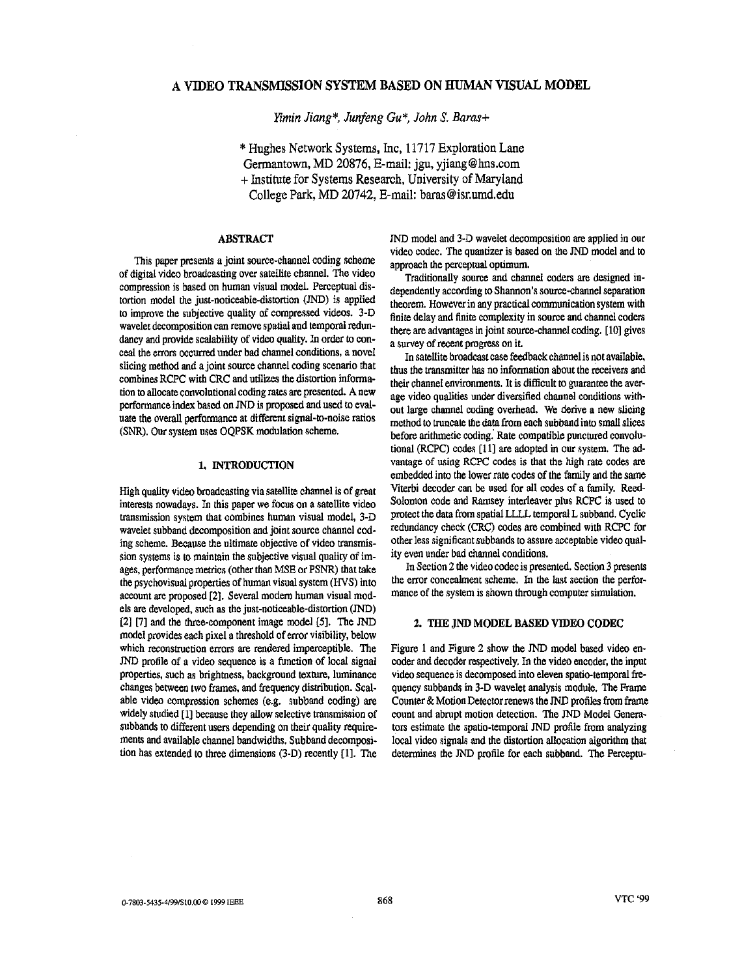# **A VIDEO TRANSMISSION SYSTEM BASED ON HUMAN VISUAL MODEL**

*Emin Jiang\*, Junfeng* **Gu\*,** *John* **S.** *Barasi* 

\* Hughes Network Systems, Inc, 11717 Exploration Lane Germantown, MD 20876, E-mail: jgu, [yjiang@hns.com](mailto:yjiang@hns.com) + Institute for Systems Research, University of Maryland College Park, MD 20742, E-mail: [baras@isr.umd.edu](mailto:baras@isr.umd.edu)

# ABSTRACT

This paper presents a joint source-channel coding scheme of digiral video broadcasting over satellite channel. **The** video compression is based **on** human visual model. Perceptual distortion model the just-noticeable-distortion  $(JND)$  is applied to improve the subjective quality of compressed videos. 3-D wavelet decomposition can remove spatial and temporal **redun**dancy and provide scalability of video quality. In order to conceal the errors occurred under bad channel conditions, a novel slicing method and a joint source channel coding scenario that combines RCPC with CRC and utilizes the distortion informa**tion** to allocate convolutional coding rates **are** presented. **A** new performance index based **on** JND is proposed and used to eval**uafe** the overall performance at different signal-to-noise ratios (SNR). **Our** system **uses** OQPSK modulation scheme.

# **1.** INTRODUCTION

High quality video broadcasting via satellite channel is of *great*  interests nowadays. In this paper we focus **on** a satellite video transmission system that combines human visual model, 3-D wavelet subband decomposition and joint source channel coding scheme. Because the ultimate objective **of** video transmission systems is to maintain the subjective visual quality of images, performance metrics (other than MSE or PSNR) that take the psychovisnal properties of human visual system *(WS)* into account **are** proposed **[2].** Several modem human visual mod**els are developed, such as the just-noticeable-distortion (JND) [21 [7]** and the three-component image model **[51. The** JND model provides each pixel a threshold of enor visibility, below which reconstruction errors are rendered imperceptible. The JND profile of a video sequence is a function of local signal properties, such as brightness, background texture. luminance changes between two frames, and frequency distribution. Scalable video compression schemes (e.g. subband coding) are widely studied [1] because they allow selective transmission of subbands to different **users** depending **on** their quality require**ments** and available channel bandwidths. Subband decomposi**tion** has extended to three dimensions (3-D) recently **[ll.** The

JND model and 3-D wavelet decomposition **are** applied in our video codec. The quantizer **is** based **on** the JND model and to approach **the** perceptual optimum.

Traditionally source and channel coders are designed independently according to Shannon's source-channel separation theorem. However in any practical communication system with finite delay and finite complexity in sonrce and channel coders there **are** advantages in joint source-channel coding. **[lo]** gives a survey of recent progress **on** it.

**In** satellite broadcast case feedback channelis not available. thus the transmitter has **no** information about the receivers and their channel environments. It is difficult to guarantee the average video qualities under diversified channel conditions without large channel coding overhead. **We** derive a new slicing method to truncate the data from each subbandinto small slices before arithmetic coding. Rate compatible punctured convolutional (RCPC) codes **[ll]** are adopted in our system. The advantage of using RCPC codes is that the high rate codes **are**  embedded into the lower rate codes of the family and the same Viterbi decoder can **be** used for all codes of a family. Reed-**Solomon** code and Ramsey interleaver plus RCPC is used to protect the data from spatial LLLL temporal L subband. Cyclic redundancy check (CRC) codes are combined with RCPC for other **less** significant subbands to **assure** acceptable video quality even under bad channel conditions.

In Section 2 the video codec is presented. Section 3 presents the error concealment scheme. In the last section the performance of the system is shown through computer simulation.

# **2.** THE JND MODEL **BASED VIDEO** CODEC

Figure 1 and Figure **2** show the JND model based video encoder and decoder respectively. In the video encoder, the input video sequence is decomposed into eleven spatio-temporal **fre**quency subbands in 3-D wavelet analysis module. The Frame Counter & Motion Detector renews the JND profiles from frame count and abrupt **motion** detection. The JND Model Generators estimate the spatio-temporal JND profile from analyzing local video signals and the distortion allocation algorithm that determines the JND profile for each subband. The Perceptu-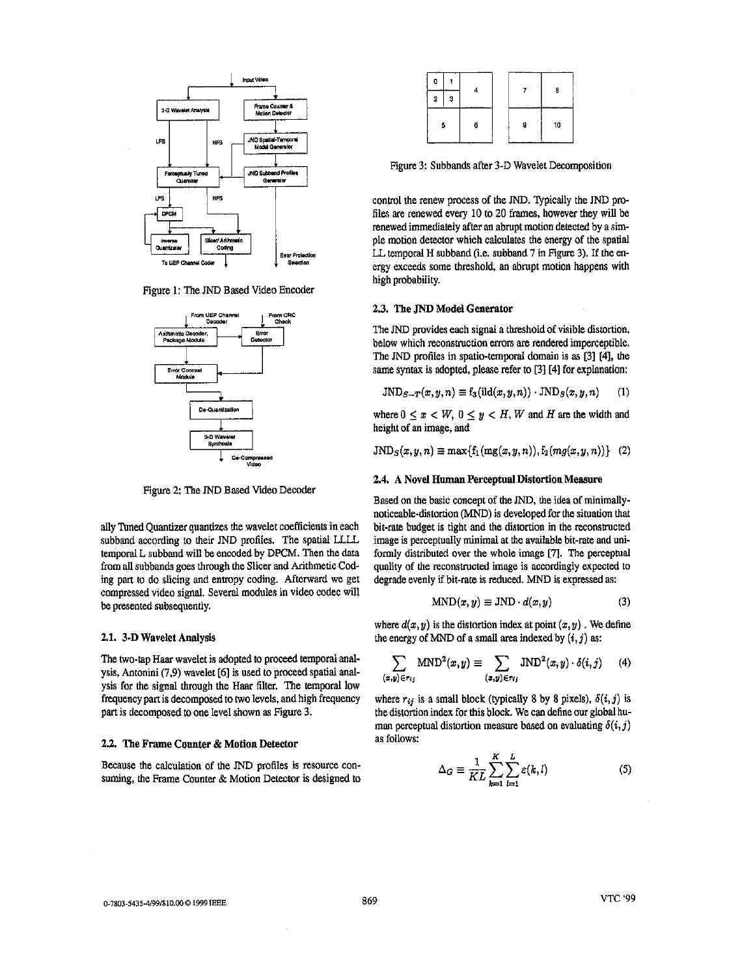

Figure **1:** The JND Based Video Encoder



Figure 2: The JND Based Video Decoder

ally Tuned Quantizer quantizes the wavelet coefficients in each subband according to their JND profiles. The spatial LLLL temporal L subband will be encoded by DPCM. Then the data from all subbands goes through the Slicer and Arithmetic Coding part to do slicing and entropy coding. Afterward we get compressed video signal. Several modules in video codec will be presented subsequently.

#### **2.1.** 3-D Wavelet Analysis

The two-tap Haar wavelet is adopted to proceed temporal analysis, Antonini (7.9) wavelet **[6]** is used to proceed spatial analysis for the signal through the Haar filter. **The** temporal low frequency part is decomposed to two levels, and high frequency part is decomposed to **one** level shown **as Figure 3.** 

## **2.2. The Frame Counter & Motion Detector**

Because the calculation of the JND profiles is resource con**suming,** the Frame Counter & **Motion** Detector is designed to

| ٥ |   |   |   | а  |
|---|---|---|---|----|
| 2 | з |   |   |    |
| 5 |   | 6 | 9 | 10 |

Figure 3: Subbands after 3-D Wavelet Decomposition

control the renew process of **the** JND. Typically the JND profiles are renewed every 10 to 20 frames, however they will be renewed immediately after an abrupt motion detected by a simple motion detector which calculates the energy of the spatial LL temporal **H** subband (i.e. subband **7** in Figure 3). If the *en*ergy exceeds some threshold, an abrupt motion happens with high probability.

## **2.3. The JND** Model Generator

**The** JND provides each signal a threshold of visible distortion, below which reconstructiou errors **are** rendered imperceptible. The JND profiles in spatio-temporal domain is **as [3] [41,** the **same** syntax is adopted, please refer to **[31[41** for explanation:

$$
JND_{S-T}(x,y,n) \equiv f_3(\text{ild}(x,y,n)) \cdot JND_S(x,y,n) \qquad (1)
$$

where  $0 \leq x < W$ ,  $0 \leq y < H$ , *W* and *H* are the width and height of an image, and

$$
JND_S(x, y, n) \equiv \max\{f_1(mg(x, y, n)), f_2(mg(x, y, n))\} (2)
$$

# **2.4. A** Novel **Human** Perceptual Distortion Measure

Based on the basic concept of the JND, the idea of minimallynoticeable-distortion (MND) is developed for the situation that bit-rate budget is tight and the distortion in the reconstructed image is perceptually minimal at the available bit-rate and uniformly distributed over the whole image **[7].** The perceptual **quality** of the reconstnrcted image is accordingly expected to degrade evenly if bit-rate is reduced. MND is expressed as:

$$
MND(x, y) \equiv JND \cdot d(x, y) \tag{3}
$$

where  $d(x, y)$  is the distortion index at point  $(x, y)$ . We define the energy of MND of a small area indexed by  $(i, j)$  as:

$$
\sum_{(x,y)\in r_{ij}} \text{MND}^2(x,y) \equiv \sum_{(x,y)\in r_{ij}} \text{JND}^2(x,y) \cdot \delta(i,j) \qquad (4)
$$

where  $r_{ij}$  is a small block (typically 8 by 8 pixels),  $\delta(i, j)$  is the distortion index for this block. We can define our global human perceptual distortion measure based on evaluating  $\delta(i, j)$ as follows:

$$
\Delta_G \equiv \frac{1}{KL} \sum_{k=1}^{K} \sum_{l=1}^{L} \varepsilon(k, l)
$$
 (5)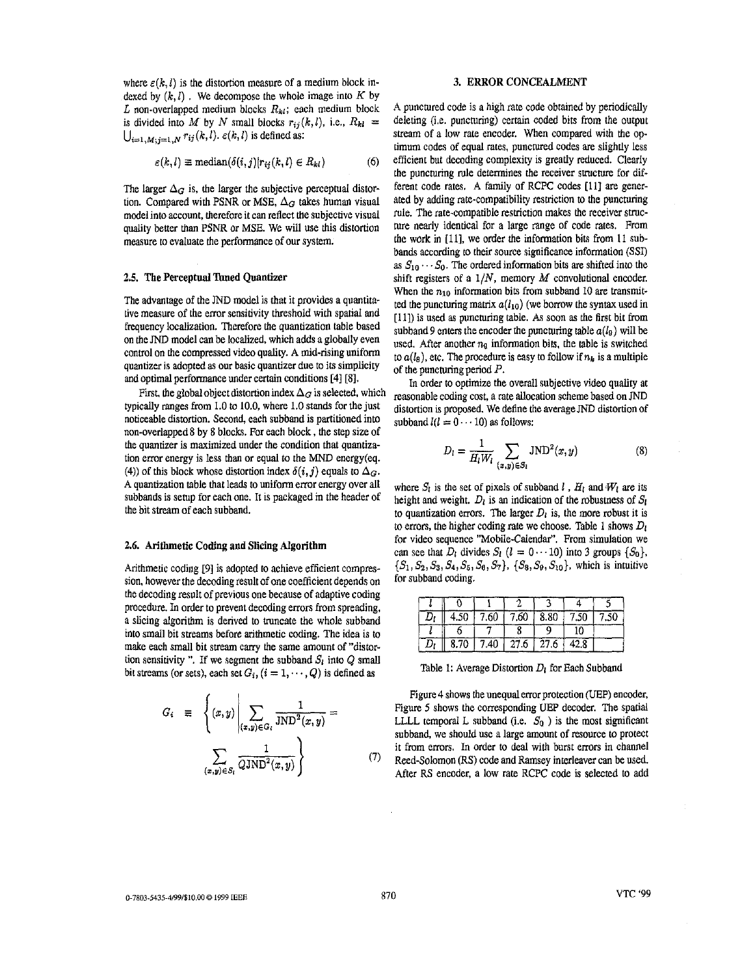where  $\varepsilon(k, l)$  is the distortion measure of a medium block indexed by  $(k, l)$ . We decompose the whole image into  $K$  by  $L$  non-overlapped medium blocks  $R_{kl}$ ; each medium block is divided into *M* by *N* small blocks  $r_{ij}(k,l)$ , i.e.,  $R_{kl}$  =  $\bigcup_{i=1,M; j=1,N} r_{ij}(k,l)$ .  $\varepsilon(k,l)$  is defined as:

$$
\varepsilon(k,l) \equiv \text{median}(\delta(i,j)|r_{ij}(k,l) \in R_{kl}) \tag{6}
$$

The larger  $\Delta_G$  is, the larger the subjective perceptual distortion. Compared with PSNR or MSE,  $\Delta_G$  takes human visual model into account, therefore it can reflect the subjective visual quality better than PSNR or MSE. We will use this distortion measure to evaluate the performance of our system.

### **2.5. The Perceptual Tuned Quantizer**

The advantage of the JND model is that it provides a quantitative measure of the error sensitivity threshold with spatial and frequency localization. Therefore the quantization table based on the JND model can be localized, which adds a globally even control on the compressed video quality. A mid-rising uniform quantizer is adopted **as OUT** basic quantizer due to its simplicity and optimal performance under certain conditions [41 [SI.

typically ranges from 1.0 to 10.0, where 1.0 stands for the just noticeable distortion. Second, each subband is partitioned into non-overlapped 8 by 8 blocks. For each block, the step size of the quantizer is maximized under the condition that quantization error energy is less than or equal to the MND energy(eq. (4)) of this block whose distortion index  $\delta(i,j)$  equals to  $\Delta_G$ . A quantization table that leads *to* uniform error energy over all subbands is setup for each one. It is packaged in the header of the bit stream of each subband. First, the global object distortion index  $\Delta_G$  is selected, which

## **2.6. Arithmetic Coding and Slicing Algorithm**

Arithmetic coding [9] is adopted to achieve efficient compression, however the decoding result of one coefficient depends on the decoding result of previous one because of adaptive coding procedure. In order to prevent decoding errors from spreading, a slicing algorithm is derived to truncate the whole subband into small bit streams before arithmetic coding. The idea is to make each small bit stream cany the same amount of "distor tion sensitivity ". If we segment the subband  $S<sub>l</sub>$  into  $Q$  small bit streams (or sets), each set  $G_i$ ,  $(i = 1, \dots, Q)$  is defined as Table 1: Average Distortion  $D_i$  for Each Subband

$$
G_i \equiv \left\{ (x, y) \middle| \sum_{(x, y) \in G_i} \frac{1}{\text{JND}^2(x, y)} = \frac{1}{\left( \sum_{(x, y) \in S_i} \frac{1}{Q \text{JND}^2(x, y)} \right)} \right\}
$$

# **3. ERROR CONCEALMENT**

A punctured code is a high rate code obtained by periodically deleting (i.e. puncturing) certain coded bits from the output stream of a low rate encoder. When compared with the optimum codes of equal rates, punctured codes are slightly less efficient but decoding complexity is greatly reduced. Clearly the puncturing rule determines the receiver structure for different code rates. A family of RCPC codes **[ll] are** generated by adding rate-compatibility restriction *to* the puncturing rule. The rate-compatible restriction makes the receiver strucmre nearly identical for a large **range** of code rates. From the work **in** [Ill, we order the information bits from 11 suhbands according to their source significance information (SSI) as  $S_{10} \cdots S_0$ . The ordered information bits are shifted into the shift registers of a 1/N, memory *M* convolutional encoder. When the  $n_{10}$  information bits from subband 10 are transmitted the puncturing matrix  $a(l_{10})$  (we borrow the syntax used in [ll]) is used **as** puncturing table. **As** soon **as** the first bit from subband 9 enters the encoder the puncturing table  $a(l_9)$  will be used. After another *ng* information bits, the table is switched to  $a(l_n)$ , etc. The procedure is easy to follow if  $n_k$  is a multiple of the puncturing period P.

In order to optimize the overall subjective video quality **at**  reasonable coding cost, a rate allocation scheme based on JND distortion is proposed. We define the average JND distortion of subband  $l(l = 0 \cdots 10)$  as follows:

$$
D_l = \frac{1}{H_l W_l} \sum_{(x,y) \in S_l} JND^2(x,y)
$$
 (8)

where  $S_i$  is the set of pixels of subband *I*,  $H_i$  and  $W_i$  are its height and weight.  $D_l$  is an indication of the robustness of  $S_l$ to quantization errors. The larger  $D<sub>l</sub>$  is, the more robust it is to errors, the higher coding rale we choose. Table 1 shows *Di*  for video sequence "Mobile-Calendar", From simulation we can see that *D<sub>I</sub>* divides *S<sub>I</sub>* ( $l = 0 \cdots 10$ ) into 3 groups { $S_0$ },  ${S_1, S_2, S_3, S_4, S_5, S_6, S_7}, {S_8, S_9, S_{10}},$  which is intuitive for subband coding.

| Dı | 4.50 |      | $7.60$ $7.60$ $8.80$ |               | 7.50 | 7.50 |
|----|------|------|----------------------|---------------|------|------|
|    |      |      |                      |               | 10   |      |
| Dı | 8.70 | 7.40 |                      | $27.6$   27.6 | 42.8 |      |

[Figure 4](#page-3-0) shows the unequal error protection (UEP) encoder, Figure 5 shows the corresponding **UEP** decoder. *The* spatial LLLL temporal L subband (i.e.  $S_0$ ) is the most significant subband, we should use a large amount of resource to protect it from errors. In order to deal with burst errors in channel Red-Solomon (RS) code and Ramsey interleaver can be used. After RS encoder, a low rate RCFC code is selected to add

**(7)**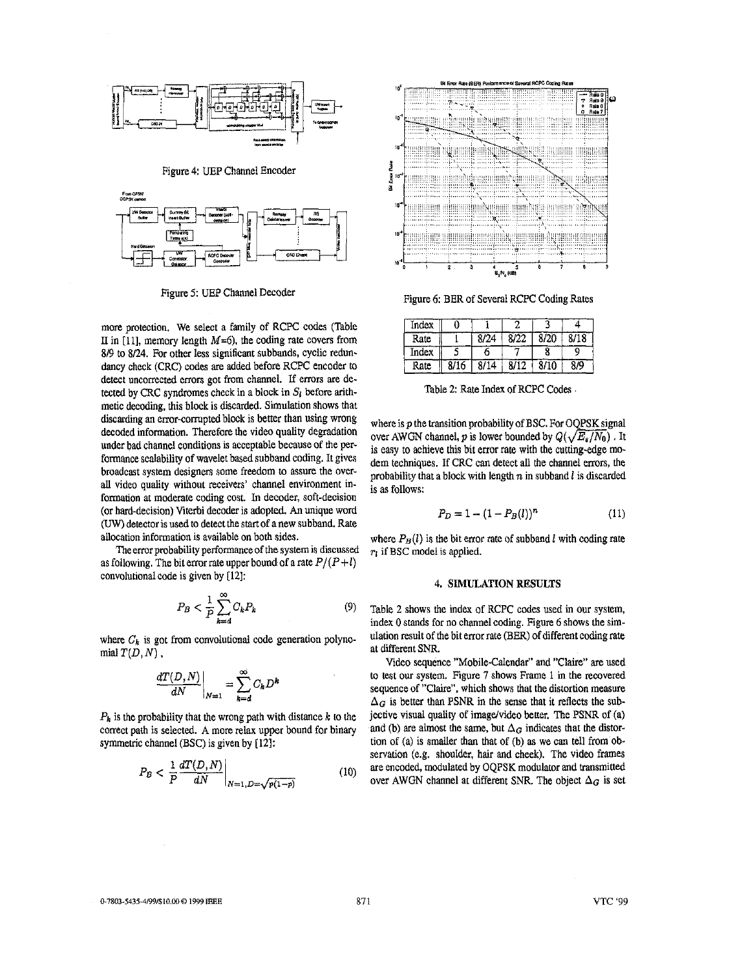<span id="page-3-0"></span>





Figure 5: UEP Channel Decoder

more protection. We select a family of RCPC codes (Table II in [11], memory length  $M=6$ ), the coding rate covers from *Si9* to 8/24. For other less significant subbands, cyclic rednndancy check (CRC) codes are added before RCPC encoder to detect uncorrected errors got from channel. If errors are detected by CRC syndromes check in a block in *Sg* before arithmetic decoding, this block is discarded. Simulation shows that discarding an error-corrupted block is better than using wrong decoded information. Therefore the video quality degradation under bad channel conditions is acceptable because of the performance scalability of wavelet based subband coding. It gives broadcast system designers some freedom to assure the overall video quality without receivers' channel environment information at moderate coding cost. In decoder, soft-decision (or hard-decision) Wterbi decoder is adopted. An unique word *(UW)* detector is used to detect the **start** of anew subband. Rate allocation information is available on both sides.

The error probability performance of the system is discussed as following. The bit error rate upper bound of a rate  $P/(P+l)$ convolutional code is given by [12]:

$$
P_B < \frac{1}{P} \sum_{k=1}^{\infty} C_k P_k \tag{9}
$$

where  $C_k$  is got from convolutional code generation polyno $m$ ial  $T(D, N)$ ,

$$
\left. \frac{dT(D, N)}{dN} \right|_{N=1} = \sum_{k=d}^{\infty} C_k D
$$

 $P_k$  is the probability that the wrong path with distance  $k$  to the correct path is selected. **A** more relax upper bound for binary symmetric channel (BSC) is given by [12]:

$$
P_B < \left. \frac{1}{P} \frac{d}{dN} \right|_{N=1, D=\sqrt{p(1-p)}} \tag{10}
$$



Figure 6: BER of Several RCPC Coding Rates

| Index |      |      |      |      |      |
|-------|------|------|------|------|------|
| Rate  |      | 8/24 | 8/22 | 8/20 | 8/18 |
| Index |      |      |      |      |      |
| Rate  | 8/16 | 8/14 | 8/12 | 8/10 | 8/9  |

Table *2:* Rate Index of RCPC Codes

where is *p* the transition probability of BSC. For OQPSK signal where is *p* the transition probability of BSC. For OQPSK signal<br>over AWGN channel, *p* is lower bounded by  $Q(\sqrt{E_s/N_0})$ . It<br>is easy to schieve this bit error rate with the outling-edge mois easy to achieve this bit error rate with the cutting-edge modem techniques. If CRC can detect all the channel errors, the probability that a block with length *n* in subband *I* is discarded is as follows:

$$
P_D = 1 - (1 - P_B(l))^n \tag{11}
$$

where  $P_B(l)$  is the bit error rate of subband *l* with coding rate *TI* if BSC model is applied.

### 4. SIMULATION RESULTS

Table **2** shows the index of RCPC codes used in our system, index 0 stands for no channel coding. Figure 6 shows the simulation result of the bit error rate (BER) of different coding rate at different SNR.

Video sequence "Mobile-Calendar" and "Claire" are used to test our system. Figure *I* shows **Frame** 1 in the recovered sequence of "Claire", which shows that the distortion measure  $\Delta_G$  is better than PSNR in the sense that it reflects the subjective visual quality of image/video better. The PSNR of (a) and (b) are almost the same, but  $\Delta_G$  indicates that the distortion of (a) is smaller than that of (b) as we can tell from observation (e.g. shoulder, hair and cheek). The video frames are encoded, modulated by OQPSK modulator and transmitted over AWGN channel at different SNR. The object  $\Delta_G$  is set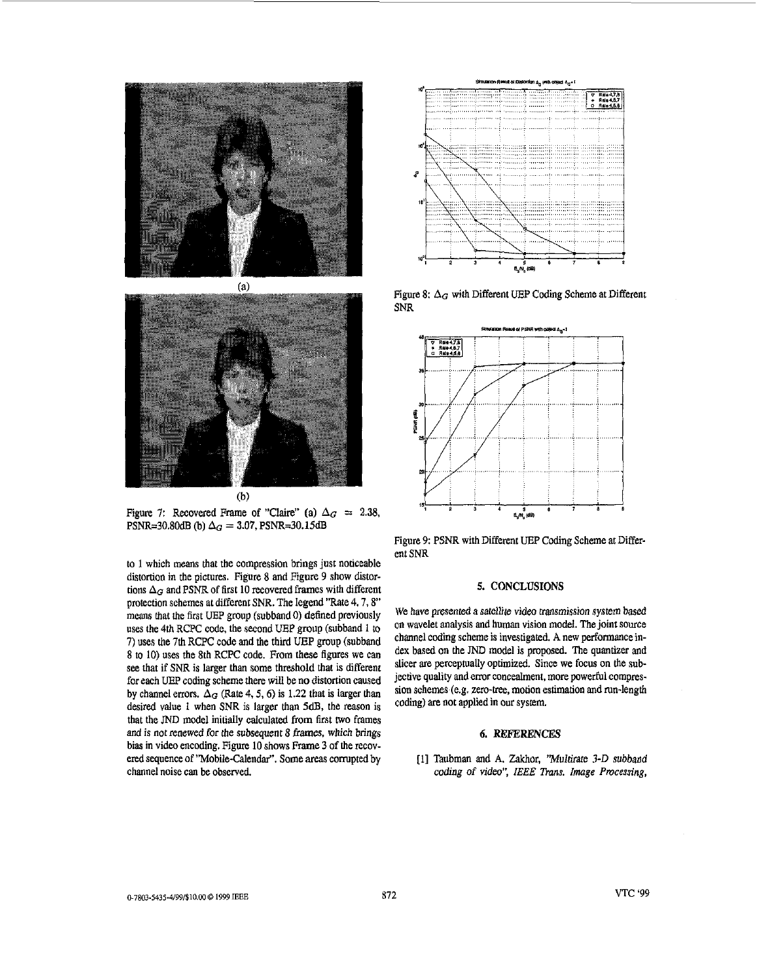



Figure 7: Recovered Frame of "Claire" (a)  $\Delta_G = 2.38$ , PSNR=30.80 $dB$  (b)  $\Delta_G = 3.07$ , PSNR=30.15dB

to **1** which means that the compression brings just noticeable distortion in the pictures. Figure 8 and Figure 9 show distortions  $\Delta_G$  and PSNR of first 10 recovered frames with different protection schemes at different SNR. The legend "Rate 4, 7, 8" means that the first UEP group (subband 0) defined previously uses the 4th RCPC code, the second UEP group (subband 1 to 7) uses the 7th RCPC code and the third **UEP** group (subband 8 to 10) uses the 8th RCPC code. From **these** figures we can **see** that if SNR is larger than some threshold that is different for each UEP coding scheme there will be **no** distortion caused by channel errors.  $\Delta_G$  (Rate 4, 5, 6) is 1.22 that is larger than desired value 1 when SNR is larger than 5dB, the reason is that the JND model initially calculated from first **two** frames and is not renewed for the subsequent 8 frames, which brings bias in video encoding. [Figure](#page-5-0) 10 shows Frame 3 of the recovered sequence of "Mobile-Calendar", Some *areas* corrupted by channel noise can be observed.



Figure 8:  $\Delta_G$  with Different UEP Coding Scheme at Different SNR



Figure 9: PSNR with Different *UEP* Coding Scheme at Different SNR

### 5. CONCLUSIONS

We have presented a satellite video transmission system based on wavelet analysis and human vision model. The joint source channel coding scheme is investigated. **A new** performance index based on the JND model is proposed. The quantizer and slicer are perceptually optimized. Since we focus on the subjective quality and error concealment, more powerful compression schemes (e.g. **Zero-tree,** motion estimation and run-length coding) **are** not applied in our system.

#### *6.* **REFERENCES**

[I] Taubman and **A. Zakhor,** "Multirare 3-D subband  $coding$  *of video", IEEE Trans. Image Processing,*